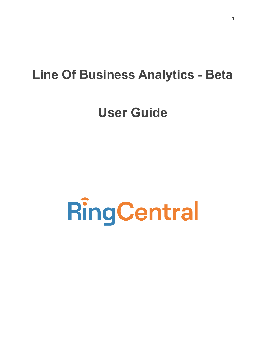# **Line Of Business Analytics - Beta**

# **User Guide**

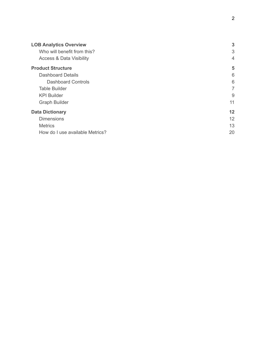| <b>LOB Analytics Overview</b>       | 3              |
|-------------------------------------|----------------|
| Who will benefit from this?         | 3              |
| <b>Access &amp; Data Visibility</b> | $\overline{4}$ |
| <b>Product Structure</b>            | 5              |
| Dashboard Details                   | 6              |
| <b>Dashboard Controls</b>           | 6              |
| <b>Table Builder</b>                | 7              |
| <b>KPI Builder</b>                  | 9              |
| <b>Graph Builder</b>                | 11             |
| <b>Data Dictionary</b>              | 12             |
| <b>Dimensions</b>                   | 12             |
| <b>Metrics</b>                      | 13             |
| How do I use available Metrics?     | 20             |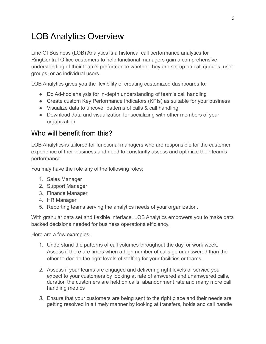# <span id="page-2-0"></span>LOB Analytics Overview

Line Of Business (LOB) Analytics is a historical call performance analytics for RingCentral Office customers to help functional managers gain a comprehensive understanding of their team's performance whether they are set up on call queues, user groups, or as individual users.

LOB Analytics gives you the flexibility of creating customized dashboards to;

- Do Ad-hoc analysis for in-depth understanding of team's call handling
- Create custom Key Performance Indicators (KPIs) as suitable for your business
- Visualize data to uncover patterns of calls & call handling
- Download data and visualization for socializing with other members of your organization

### <span id="page-2-1"></span>Who will benefit from this?

LOB Analytics is tailored for functional managers who are responsible for the customer experience of their business and need to constantly assess and optimize their team's performance.

You may have the role any of the following roles;

- 1. Sales Manager
- 2. Support Manager
- 3. Finance Manager
- 4. HR Manager
- 5. Reporting teams serving the analytics needs of your organization.

With granular data set and flexible interface, LOB Analytics empowers you to make data backed decisions needed for business operations efficiency.

Here are a few examples:

- 1. Understand the patterns of call volumes throughout the day, or work week. Assess if there are times when a high number of calls go unanswered than the other to decide the right levels of staffing for your facilities or teams.
- *2.* Assess if your teams are engaged and delivering right levels of service you expect to your customers by looking at rate of answered and unanswered calls, duration the customers are held on calls, abandonment rate and many more call handling metrics
- *3.* Ensure that your customers are being sent to the right place and their needs are getting resolved in a timely manner by looking at transfers, holds and call handle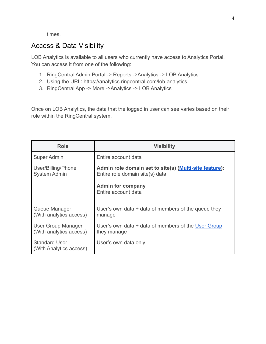times.

# <span id="page-3-0"></span>Access & Data Visibility

LOB Analytics is available to all users who currently have access to Analytics Portal. You can access it from one of the following:

- 1. RingCentral Admin Portal -> Reports ->Analytics -> LOB Analytics
- 2. Using the URL: <https://analytics.ringcentral.com/lob-analytics>
- 3. RingCentral App -> More ->Analytics -> LOB Analytics

Once on LOB Analytics, the data that the logged in user can see varies based on their role within the RingCentral system.

| Role                                            | <b>Visibility</b>                                                                                                                            |
|-------------------------------------------------|----------------------------------------------------------------------------------------------------------------------------------------------|
| <b>Super Admin</b>                              | Entire account data                                                                                                                          |
| User/Billing/Phone<br><b>System Admin</b>       | Admin role domain set to site(s) (Multi-site feature):<br>Entire role domain site(s) data<br><b>Admin for company</b><br>Entire account data |
| Queue Manager<br>(With analytics access)        | User's own data $+$ data of members of the queue they<br>manage                                                                              |
| User Group Manager<br>(With analytics access)   | User's own data + data of members of the User Group<br>they manage                                                                           |
| <b>Standard User</b><br>(With Analytics access) | User's own data only                                                                                                                         |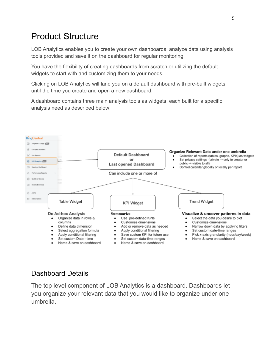# <span id="page-4-0"></span>Product Structure

LOB Analytics enables you to create your own dashboards, analyze data using analysis tools provided and save it on the dashboard for regular monitoring.

You have the flexibility of creating dashboards from scratch or utilizing the default widgets to start with and customizing them to your needs.

Clicking on LOB Analytics will land you on a default dashboard with pre-built widgets until the time you create and open a new dashboard.

A dashboard contains three main analysis tools as widgets, each built for a specific analysis need as described below;



### <span id="page-4-1"></span>Dashboard Details

The top level component of LOB Analytics is a dashboard. Dashboards let you organize your relevant data that you would like to organize under one umbrella.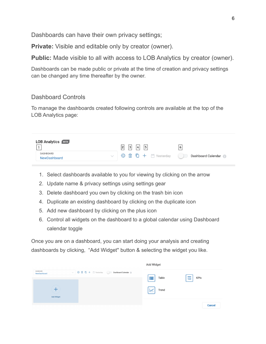Dashboards can have their own privacy settings;

**Private:** Visible and editable only by creator (owner).

**Public:** Made visible to all with access to LOB Analytics by creator (owner).

Dashboards can be made public or private at the time of creation and privacy settings can be changed any time thereafter by the owner.

#### <span id="page-5-0"></span>Dashboard Controls

To manage the dashboards created following controls are available at the top of the LOB Analytics page:

| <b>LOB Analytics</b> BETA        | 2 | 3 | 4 | 5 |                     | 6 |                    |
|----------------------------------|---|---|---|---|---------------------|---|--------------------|
| DASHBOARD<br><b>NewDashboard</b> |   |   |   |   | ◎ m □ + m Yesterday |   | Dashboard Calendar |

- 1. Select dashboards available to you for viewing by clicking on the arrow
- 2. Update name & privacy settings using settings gear
- 3. Delete dashboard you own by clicking on the trash bin icon
- 4. Duplicate an existing dashboard by clicking on the duplicate icon
- 5. Add new dashboard by clicking on the plus icon
- 6. Control all widgets on the dashboard to a global calendar using Dashboard calendar toggle

Once you are on a dashboard, you can start doing your analysis and creating dashboards by clicking, "Add Widget'' button & selecting the widget you like.

|                           |                                              | Add Widget |                    |
|---------------------------|----------------------------------------------|------------|--------------------|
| DASHBOARD<br>NewDashboard | √ © ■ □ + ■ Yesterday ● Dashboard Calendar ● | ₩<br>Table | <b>KPIs</b><br>123 |
| Add Widget                |                                              | Trend      |                    |
|                           |                                              |            | <b>Cancel</b>      |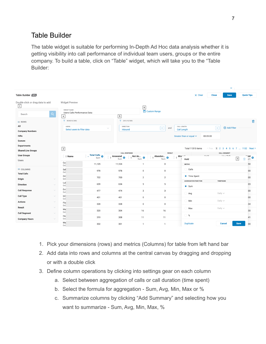# <span id="page-6-0"></span>Table Builder

The table widget is suitable for performing In-Depth Ad Hoc data analysis whether it is getting visibility into call performance of individual team users, groups or the entire company. To build a table, click on "Table" widget, which will take you to the "Table Builder:

| Table Builder BETA                              |                            |                                                  |                                    |                                   |                                      |                                       |                                                   | $\times$ Clear              | <b>Close</b> | <b>Save</b>         | <b>Quick Tips</b>                                |
|-------------------------------------------------|----------------------------|--------------------------------------------------|------------------------------------|-----------------------------------|--------------------------------------|---------------------------------------|---------------------------------------------------|-----------------------------|--------------|---------------------|--------------------------------------------------|
| Double click or drag data to add<br>$\boxed{1}$ |                            | <b>Widget Preview</b>                            |                                    |                                   | $\boxed{6}$                          |                                       |                                                   |                             |              |                     |                                                  |
| Search                                          | $\alpha$                   | WIDGET NAME<br>Users Calls Performance Data<br>4 |                                    | $\,$ 5 $\,$                       |                                      | Custom Range                          |                                                   |                             |              |                     |                                                  |
| $\equiv$ ROWS                                   |                            | ROWS FILTERS                                     |                                    | DATA FILTERS                      |                                      |                                       |                                                   |                             |              |                     | fill                                             |
| All                                             |                            | <b>USERS</b>                                     |                                    | <b>DIRECTION</b>                  |                                      | Ł<br>and                              | CALL LENGTH                                       |                             | $\mathsf{X}$ | <b>Add Filter</b>   |                                                  |
| <b>Company Numbers</b>                          |                            | Select users to filter data                      |                                    | Inbound                           |                                      |                                       | <b>Call Length</b>                                |                             |              |                     |                                                  |
| <b>IVRs</b>                                     |                            |                                                  |                                    |                                   |                                      |                                       | Greater than or equal $\vee$                      |                             | 00:05:00     |                     |                                                  |
| Queues                                          |                            |                                                  |                                    |                                   |                                      |                                       |                                                   |                             |              |                     |                                                  |
| <b>Departments</b>                              |                            |                                                  |                                    |                                   |                                      |                                       |                                                   | Total 11315 items           |              |                     | < Prev. 1 2 3 4 5 6 7  1132 Next >               |
| <b>Shared Line Groups</b>                       |                            | $\boxed{2}$                                      |                                    | <b>CALL RESPONSE</b>              |                                      |                                       | <b>RESULT</b>                                     |                             |              | <b>CALL SEGMENT</b> |                                                  |
| <b>User Groups</b><br>Users                     |                            | ∷ ÷ Name                                         | $\frac{1}{2}$ - Total Calls<br>Sum | $\Leftrightarrow$ Answered<br>Sum | $\div$ Not An $\frac{1}{\text{Sum}}$ | $\Leftrightarrow$ Abandon<br>۰<br>Sum | $\frac{1}{2}$ Mis $\frac{1}{2}$<br>الم بر<br>Hold | $11 - 14$                   |              | <b>Chairmalls</b>   | to ble <sup>tt</sup><br>$\boxed{3}$<br>fil<br>um |
|                                                 |                            | Cu:<br>Ext                                       | 11,125                             | 11,124                            | $\mathbf{1}$                         | $\,0\,$                               | <b>METRIC</b>                                     |                             |              |                     | :50                                              |
| <b>E</b> COLUMNS<br><b>Total Calls</b>          |                            | Sal<br>Ext                                       | 978                                | 978                               | $\mathsf 0$                          | $\mathbf 0$                           | Calls                                             |                             |              |                     | 00                                               |
| Origin                                          | $\checkmark$               | On<br>Ext                                        | 702                                | 700                               | $\overline{2}$                       | $\overline{2}$                        |                                                   | • Time Spent                |              |                     | :00                                              |
| <b>Direction</b>                                | $\searrow$                 | Lui<br>Ext                                       | 639                                | 634                               | 5                                    | $\,$ 5 $\,$                           | $\bullet$ Sum                                     | <b>AGGREGATION FUNCTION</b> | TIMEFRAME    |                     | :03                                              |
| <b>Call Response</b>                            | $\checkmark$               | Em<br>Ext                                        | 477                                | 474                               | 3                                    | 3                                     | Avg                                               |                             | Daily $\vee$ |                     | :00                                              |
| <b>Call Type</b>                                | $\searrow$                 | InC<br>Ext                                       | 401                                | 401                               | $\mathsf 0$                          | $\mathsf 0$                           |                                                   |                             |              |                     | :00                                              |
| <b>Actions</b>                                  | $\searrow$                 | Flo<br>Ext                                       | 328                                | 328                               | $\mathsf 0$                          | $\,0\,$                               | Min                                               |                             | Daily $\vee$ |                     | 34                                               |
| Result                                          | $\searrow$                 | Ma<br>Ext                                        | 320                                | 304                               | 16                                   | 16                                    | Max                                               |                             | Daily $\vee$ |                     | :30                                              |
| <b>Call Segment</b><br><b>Company Hours</b>     | $\searrow$<br>$\checkmark$ | Ha<br>Ext                                        | 319                                | 308                               | 11                                   | 11                                    | $\%$<br>C                                         |                             |              |                     | :41                                              |
|                                                 |                            | Ma<br>Ext                                        | 302                                | 301                               | $\mathbf{1}$                         | $\mathbf{1}$                          | <b>Duplicate</b>                                  |                             |              | <b>Cancel</b>       | <b>Save</b><br>00                                |

- 1. Pick your dimensions (rows) and metrics (Columns) for table from left hand bar
- 2. Add data into rows and columns at the central canvas by dragging and dropping or with a double click
- 3. Define column operations by clicking into settings gear on each column
	- a. Select between aggregation of calls or call duration (time spent)
	- b. Select the formula for aggregation Sum, Avg, Min, Max or %
	- c. Summarize columns by clicking "Add Summary" and selecting how you want to summarize - Sum, Avg, Min, Max, %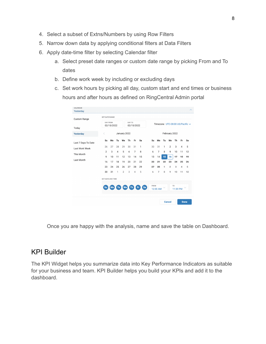- 4. Select a subset of Extns/Numbers by using Row Filters
- 5. Narrow down data by applying conditional filters at Data Filters
- 6. Apply date-time filter by selecting Calendar filter
	- a. Select preset date ranges or custom date range by picking From and To dates
	- b. Define work week by including or excluding days
	- c. Set work hours by picking all day, custom start and end times or business hours and after hours as defined on RingCentral Admin portal

| <b>Custom Range</b> | <b>SET DATE RANGE</b>    |    |                |                |                      |                |                  |             |                                 |            |                |                            |                |              |
|---------------------|--------------------------|----|----------------|----------------|----------------------|----------------|------------------|-------------|---------------------------------|------------|----------------|----------------------------|----------------|--------------|
| Today               | DAY FROM<br>02/15/2022   |    |                |                | DAY TO<br>02/15/2022 |                |                  |             | Timezone UTC-08:00 US/Pacific v |            |                |                            |                |              |
| Yesterday           | く                        |    |                | January 2022   |                      |                |                  |             |                                 |            | February 2022  |                            |                |              |
| Last 7 Days To Date | Su                       | Mo | Tu             | We             | Th                   | Fr.            | Sa               | Su          | Mo                              | Tu         | We             | Th                         | Fr.            | Sa           |
| Last Work Week      | 26                       | 27 | 28             | 29             | 30                   | 31             | $\mathbf{1}$     | 30          | 31                              | 1          | $\overline{2}$ | 3                          | $\overline{4}$ | 5            |
| This Month          | $\overline{2}$           | 3  | $\overline{4}$ | 5              | 6                    | $\overline{7}$ | 8                | 6           | $\overline{7}$                  | 8          | 9              | 10                         | 11             | 12           |
|                     | 9                        | 10 | 11             | 12             | 13                   | 14             | 15               | 13          | 14                              | 15         | 16             | $+7$                       | $+8$           | $+9$         |
| Last Month          | 16                       | 17 | 18             | 19             | 20                   | 21             | 22               | 20          | 2 <sup>1</sup>                  | 22         | 23             | 24                         | 25             | 26           |
|                     | 23                       | 24 | 25             | 26             | 27                   | 28             | 29               | 27          | 28                              | $\ddagger$ | $\overline{2}$ | $\overline{\mathbf{a}}$    | $\overline{4}$ | 5            |
|                     | 30                       | 31 | $\mathbf{1}$   | $\overline{2}$ | 3                    | 4              | 5                | $\epsilon$  | $\overline{\tau}$               | 8          | 9              | $+0$                       | $+4$           | $+2$         |
|                     | <b>SET DAYS AND TIME</b> |    |                |                |                      |                |                  |             |                                 |            |                |                            |                |              |
|                     | Su                       | Mo | Tu             | We             | <b>Th</b>            |                | <b>Sa</b><br>Fr. | <b>FROM</b> | 12:00 AM                        |            |                | T <sub>0</sub><br>11:59 PM |                | $\checkmark$ |

Once you are happy with the analysis, name and save the table on Dashboard.

#### <span id="page-7-0"></span>KPI Builder

The KPI Widget helps you summarize data into Key Performance Indicators as suitable for your business and team. KPI Builder helps you build your KPIs and add it to the dashboard.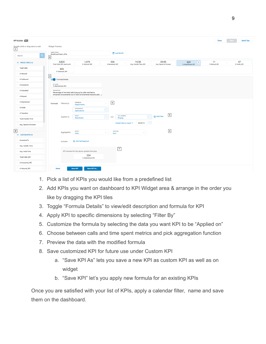| <b>KPI Builder DETA</b>                      |                                   |                                                                 |                                                    |                              |                               |                                       | <b>Close</b>      | <b>Quick Tips</b><br>Save |
|----------------------------------------------|-----------------------------------|-----------------------------------------------------------------|----------------------------------------------------|------------------------------|-------------------------------|---------------------------------------|-------------------|---------------------------|
| Double click or drag data to add $\boxed{1}$ | <b>Widget Preview</b>             |                                                                 |                                                    |                              |                               |                                       |                   |                           |
| $\alpha$<br>Search                           | WIDGET NAME<br>WestCoastTeam_KPIs |                                                                 | Last Month                                         |                              |                               |                                       |                   |                           |
|                                              | 2                                 |                                                                 |                                                    |                              |                               |                                       |                   |                           |
| $\vee$ PRESET KPIS (12)                      | 3,832<br>Total Calls_WC_lastmonth | 1,070<br># Inbound_WC                                           | 536<br># Answered_WC                               | 14:38<br>Avg. Handle Time_WC | 00:05<br>Avg. Speed of Answer | 224<br>$\mathbf{x}$<br>% Abandoned_WC | 11<br>% Missed_WC | 47<br># Holds_WC          |
| <b>Total Calls</b>                           | 846<br>#Outbound_WC               |                                                                 |                                                    |                              |                               |                                       |                   |                           |
| # Inbound                                    | $\vert 3 \vert$                   |                                                                 |                                                    |                              |                               |                                       |                   |                           |
| # Outbound                                   | Formula Details                   |                                                                 |                                                    |                              |                               |                                       |                   |                           |
| # Answered                                   | KPI NAME<br>% Abandoned_WC        |                                                                 |                                                    |                              |                               |                                       |                   |                           |
| # VoiceMail                                  | DESCRIPTION                       | Percentage of the total calls hung up by caller and hence       |                                                    |                              |                               |                                       |                   |                           |
| # Missed                                     |                                   | remained not answered out of total not answered inbound calls / |                                                    |                              |                               |                                       |                   |                           |
| # Abandoned                                  | Filtered by<br>Formula            | DIMENSION<br><b>Departments</b>                                 | $\boxed{4}$                                        |                              |                               |                                       |                   |                           |
| # Holds                                      |                                   | DEPARTMENTS                                                     | $\boxed{\times}$                                   |                              |                               |                                       |                   |                           |
| #Transfers                                   |                                   | Applications                                                    |                                                    |                              |                               |                                       |                   |                           |
| <b>Total Handle Time</b>                     | Applied on                        | RESULT<br>Abandoned                                             | CALL SEGMENT<br>$\boxed{\times}$<br>and<br>Ringing | $\boxed{\mathsf{x}}$         | $\boxed{5}$<br>Add Filter     |                                       |                   |                           |
| Avg. Speed of Answer                         |                                   |                                                                 | Greater than or equal $\vee$                       | $\sqrt{2}$<br>00:00:10       |                               |                                       |                   |                           |
|                                              |                                   |                                                                 |                                                    |                              |                               |                                       |                   |                           |
| $\boxed{8}$<br>$\vee$ CUSTOM KPIS (9)        | Aggregation                       | METRIC<br>Calls                                                 | <b>FUNCTION</b><br>w<br>Sum                        | $\searrow$                   | $\boxed{6}$                   |                                       |                   |                           |
| Answered %                                   | Includes                          | Add Call Segment                                                |                                                    |                              |                               |                                       |                   |                           |
| Avg. Handle Time                             |                                   |                                                                 |                                                    |                              |                               |                                       |                   |                           |
| Avg. Hold Time                               |                                   | KPI preview for the above update formulas                       | $\boxed{7}$                                        |                              |                               |                                       |                   |                           |
| Total Calls_WC                               |                                   | 224<br>% Abandoned_WC                                           |                                                    |                              |                               |                                       |                   |                           |
| # Answered_WC                                |                                   |                                                                 |                                                    |                              |                               |                                       |                   |                           |
| # Inbound_WC                                 | <b>Reset</b>                      | Save KPI As<br><b>Save KPI</b>                                  |                                                    |                              |                               |                                       |                   |                           |

- 1. Pick a list of KPIs you would like from a predefined list
- 2. Add KPIs you want on dashboard to KPI Widget area & arrange in the order you like by dragging the KPI tiles
- 3. Toggle "Formula Details" to view/edit description and formula for KPI
- 4. Apply KPI to specific dimensions by selecting "Filter By"
- 5. Customize the formula by selecting the data you want KPI to be "Applied on"
- 6. Choose between calls and time spent metrics and pick aggregation function
- 7. Preview the data with the modified formula
- 8. Save customized KPI for future use under Custom KPI
	- a. "Save KPI As" lets you save a new KPI as custom KPI as well as on widget
	- b. "Save KPI" let's you apply new formula for an existing KPIs

Once you are satisfied with your list of KPIs, apply a calendar filter, name and save them on the dashboard.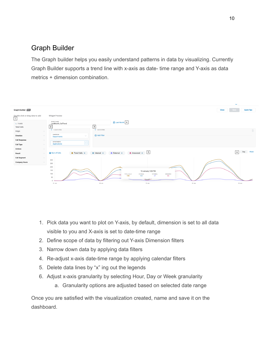## <span id="page-9-0"></span>Graph Builder

The Graph builder helps you easily understand patterns in data by visualizing. Currently Graph Builder supports a trend line with x-axis as date- time range and Y-axis as data metrics + dimension combination.

|                                                   |              |                                                |                             |                                                                       |                | $\tilde{\phantom{a}}$ |                      |
|---------------------------------------------------|--------------|------------------------------------------------|-----------------------------|-----------------------------------------------------------------------|----------------|-----------------------|----------------------|
| Graph Builder BETA                                |              |                                                |                             |                                                                       |                | <b>Close</b><br>Save  | <b>Quick Tips</b>    |
| Double click or drag data to add<br>$\frac{1}{1}$ |              | Widget Preview                                 |                             |                                                                       |                |                       |                      |
| IZ Y-AXIS                                         |              | WIDGET NAME<br>LastMonth_CallTrend             |                             | Last Month 4                                                          |                |                       |                      |
| <b>Total Calls</b>                                |              | 2                                              | $\sqrt{3}$                  |                                                                       |                |                       |                      |
| Origin                                            | $\checkmark$ | Y-AXIS FILTERS                                 | DATA FILTERS                |                                                                       |                |                       | $\widehat{\boxplus}$ |
| <b>Direction</b>                                  | $\checkmark$ | DIMENSION<br>$\searrow$<br>Departments         | Add Filter                  |                                                                       |                |                       |                      |
| <b>Call Response</b>                              | $\vee$       | DEPARTMENTS                                    |                             |                                                                       |                |                       |                      |
| <b>Call Type</b>                                  | $\checkmark$ | $\boxed{\times}$<br>Applications               |                             |                                                                       |                |                       |                      |
| <b>Actions</b>                                    | $\sim$       |                                                |                             |                                                                       |                |                       |                      |
| Result                                            | $\sim$       | Sum of Calls<br>$\bullet$ Total Calls $\times$ | $\bullet$ Internal $\times$ | • Answered $\times$ 5<br>External X                                   |                | $6\overline{6}$       | Week<br>Day          |
| <b>Call Segment</b>                               | $\sim$       |                                                |                             |                                                                       |                |                       |                      |
| <b>Company Hours</b>                              | $\searrow$   | 300<br>250                                     |                             |                                                                       |                |                       |                      |
|                                                   |              | 200                                            |                             |                                                                       |                |                       |                      |
|                                                   |              | 150<br>100                                     |                             | 10 January, 9:00 PM                                                   |                |                       |                      |
|                                                   |              | 50                                             |                             | TOTAL CALLS<br><b>INTERNAL</b><br><b>EXTERNAL</b><br>198<br>161<br>37 | ANSWERED<br>86 |                       |                      |
|                                                   |              | $\Omega$                                       |                             | $\tilde{}$                                                            |                |                       |                      |
|                                                   |              | 01 Jan                                         | 08 Jan                      | 15 Jan                                                                | 22 Jan         | 29 Jan                |                      |
|                                                   |              |                                                |                             |                                                                       |                |                       |                      |

- 1. Pick data you want to plot on Y-axis, by default, dimension is set to all data visible to you and X-axis is set to date-time range
- 2. Define scope of data by filtering out Y-axis Dimension filters
- 3. Narrow down data by applying data filters
- 4. Re-adjust x-axis date-time range by applying calendar filters
- 5. Delete data lines by "x" ing out the legends
- 6. Adjust x-axis granularity by selecting Hour, Day or Week granularity
	- a. Granularity options are adjusted based on selected date range

Once you are satisfied with the visualization created, name and save it on the dashboard.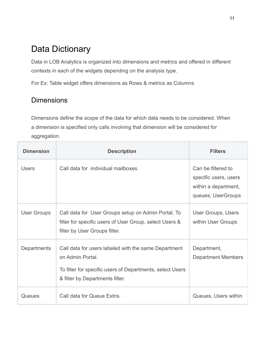# <span id="page-10-0"></span>Data Dictionary

Data in LOB Analytics is organized into dimensions and metrics and offered in different contexts in each of the widgets depending on the analysis type.

For Ex: Table widget offers dimensions as Rows & metrics as Columns

# <span id="page-10-1"></span>**Dimensions**

Dimensions define the scope of the data for which data needs to be considered. When a dimension is specified only calls involving that dimension will be considered for aggregation.

| <b>Dimension</b>   | <b>Description</b>                                                                                                                                                       | <b>Filters</b>                                                                            |
|--------------------|--------------------------------------------------------------------------------------------------------------------------------------------------------------------------|-------------------------------------------------------------------------------------------|
| <b>Users</b>       | Call data for individual mailboxes                                                                                                                                       | Can be filtered to<br>specific users, users<br>within a department,<br>queues, UserGroups |
| <b>User Groups</b> | Call data for User Groups setup on Admin Portal. To<br>filter for specific users of User Group, select Users &<br>filter by User Groups filter.                          | User Groups, Users<br>within User Groups                                                  |
| Departments        | Call data for users labeled with the same Department<br>on Admin Portal.<br>To filter for specific users of Departments, select Users<br>& filter by Departments filter. | Department,<br><b>Department Members</b>                                                  |
| Queues             | Call data for Queue Extns.                                                                                                                                               | Queues, Users within                                                                      |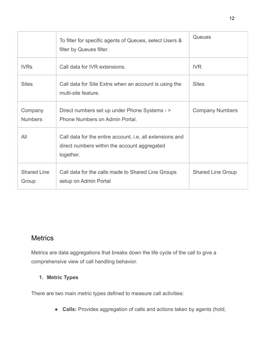|                             | To filter for specific agents of Queues, select Users &<br>filter by Queues filter.                                    | <b>Queues</b>            |
|-----------------------------|------------------------------------------------------------------------------------------------------------------------|--------------------------|
| <b>IVRs</b>                 | Call data for IVR extensions.                                                                                          | <b>IVR</b>               |
| <b>Sites</b>                | Call data for Site Extns when an account is using the<br>multi-site feature.                                           | <b>Sites</b>             |
| Company<br><b>Numbers</b>   | Direct numbers set up under Phone Systems - ><br>Phone Numbers on Admin Portal.                                        | <b>Company Numbers</b>   |
| All                         | Call data for the entire account, i.e. all extensions and<br>direct numbers within the account aggregated<br>together. |                          |
| <b>Shared Line</b><br>Group | Call data for the calls made to Shared Line Groups<br>setup on Admin Portal                                            | <b>Shared Line Group</b> |

# <span id="page-11-0"></span>**Metrics**

Metrics are data aggregations that breaks down the life cycle of the call to give a comprehensive view of call handling behavior.

#### **1. Metric Types**

There are two main metric types defined to measure call activities:

● **Calls:** Provides aggregation of calls and actions taken by agents (hold,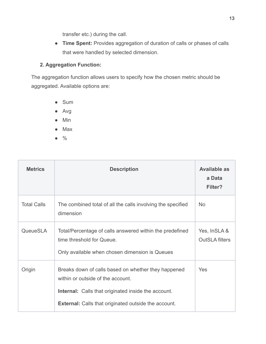transfer etc.) during the call.

● **Time Spent:** Provides aggregation of duration of calls or phases of calls that were handled by selected dimension.

#### **2. Aggregation Function:**

The aggregation function allows users to specify how the chosen metric should be aggregated. Available options are:

- Sum
- Avg
- Min
- Max
- %

| <b>Metrics</b>     | <b>Description</b>                                                                                                                                                                                                    | <b>Available as</b><br>a Data<br>Filter? |
|--------------------|-----------------------------------------------------------------------------------------------------------------------------------------------------------------------------------------------------------------------|------------------------------------------|
| <b>Total Calls</b> | The combined total of all the calls involving the specified<br>dimension                                                                                                                                              | <b>No</b>                                |
| QueueSLA           | Total/Percentage of calls answered within the predefined<br>time threshold for Queue.<br>Only available when chosen dimension is Queues                                                                               | Yes, InSLA &<br><b>OutSLA filters</b>    |
| Origin             | Breaks down of calls based on whether they happened<br>within or outside of the account.<br><b>Internal:</b> Calls that originated inside the account.<br><b>External:</b> Calls that originated outside the account. | Yes                                      |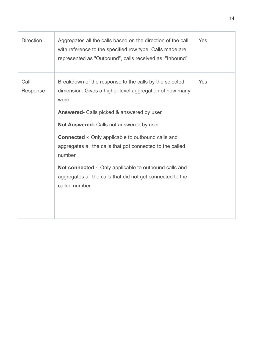| <b>Direction</b> | Aggregates all the calls based on the direction of the call<br>with reference to the specified row type. Calls made are<br>represented as "Outbound", calls received as. "Inbound"                                                                                                                                                                                                                                                                                                                        | Yes |
|------------------|-----------------------------------------------------------------------------------------------------------------------------------------------------------------------------------------------------------------------------------------------------------------------------------------------------------------------------------------------------------------------------------------------------------------------------------------------------------------------------------------------------------|-----|
| Call<br>Response | Breakdown of the response to the calls by the selected<br>dimension. Gives a higher level aggregation of how many<br>were:<br><b>Answered-</b> Calls picked & answered by user<br>Not Answered- Calls not answered by user<br><b>Connected -: Only applicable to outbound calls and</b><br>aggregates all the calls that got connected to the called<br>number.<br>Not connected -: Only applicable to outbound calls and<br>aggregates all the calls that did not get connected to the<br>called number. | Yes |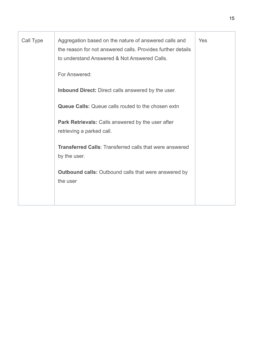| Call Type | Aggregation based on the nature of answered calls and<br>the reason for not answered calls. Provides further details<br>to understand Answered & Not Answered Calls. | Yes |
|-----------|----------------------------------------------------------------------------------------------------------------------------------------------------------------------|-----|
|           | For Answered:                                                                                                                                                        |     |
|           | <b>Inbound Direct:</b> Direct calls answered by the user.                                                                                                            |     |
|           | <b>Queue Calls:</b> Queue calls routed to the chosen extn                                                                                                            |     |
|           | Park Retrievals: Calls answered by the user after<br>retrieving a parked call.                                                                                       |     |
|           | <b>Transferred Calls: Transferred calls that were answered</b><br>by the user.                                                                                       |     |
|           | <b>Outbound calls:</b> Outbound calls that were answered by<br>the user                                                                                              |     |
|           |                                                                                                                                                                      |     |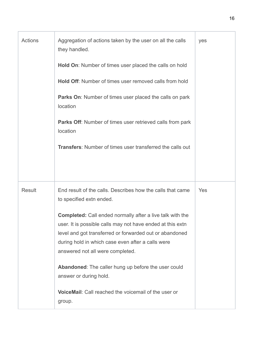| Actions       | Aggregation of actions taken by the user on all the calls<br>they handled.<br>Hold On: Number of times user placed the calls on hold<br><b>Hold Off:</b> Number of times user removed calls from hold<br><b>Parks On:</b> Number of times user placed the calls on park<br>location<br>Parks Off: Number of times user retrieved calls from park<br>location<br><b>Transfers:</b> Number of times user transferred the calls out                                                                                                       | yes |
|---------------|----------------------------------------------------------------------------------------------------------------------------------------------------------------------------------------------------------------------------------------------------------------------------------------------------------------------------------------------------------------------------------------------------------------------------------------------------------------------------------------------------------------------------------------|-----|
| <b>Result</b> | End result of the calls. Describes how the calls that came<br>to specified extn ended.<br><b>Completed:</b> Call ended normally after a live talk with the<br>user. It is possible calls may not have ended at this extn<br>level and got transferred or forwarded out or abandoned<br>during hold in which case even after a calls were<br>answered not all were completed.<br>Abandoned: The caller hung up before the user could<br>answer or during hold.<br><b>VoiceMail:</b> Call reached the voicemail of the user or<br>group. | Yes |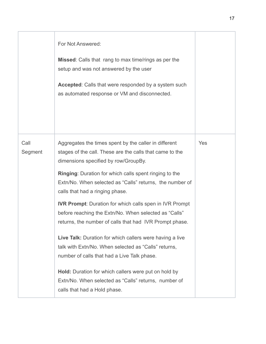|                 | For Not Answered:<br>Missed: Calls that rang to max time/rings as per the<br>setup and was not answered by the user<br><b>Accepted:</b> Calls that were responded by a system such<br>as automated response or VM and disconnected. |            |
|-----------------|-------------------------------------------------------------------------------------------------------------------------------------------------------------------------------------------------------------------------------------|------------|
| Call<br>Segment | Aggregates the times spent by the caller in different<br>stages of the call. These are the calls that came to the<br>dimensions specified by row/GroupBy.<br><b>Ringing:</b> Duration for which calls spent ringing to the          | <b>Yes</b> |
|                 | Extn/No. When selected as "Calls" returns, the number of<br>calls that had a ringing phase.                                                                                                                                         |            |
|                 | <b>IVR Prompt:</b> Duration for which calls spen in IVR Prompt<br>before reaching the Extn/No. When selected as "Calls"<br>returns, the number of calls that had IVR Prompt phase.                                                  |            |
|                 | Live Talk: Duration for which callers were having a live<br>talk with Extn/No. When selected as "Calls" returns,<br>number of calls that had a Live Talk phase.                                                                     |            |
|                 | Hold: Duration for which callers were put on hold by<br>Extn/No. When selected as "Calls" returns, number of<br>calls that had a Hold phase.                                                                                        |            |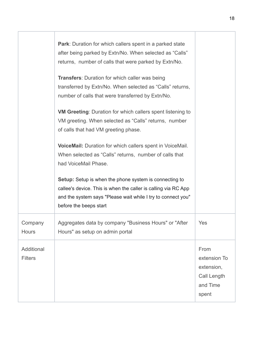|                              | <b>Park:</b> Duration for which callers spent in a parked state<br>after being parked by Extn/No. When selected as "Calls"<br>returns, number of calls that were parked by Extn/No.<br><b>Transfers: Duration for which caller was being</b><br>transferred by Extn/No. When selected as "Calls" returns,<br>number of calls that were transferred by Extn/No.<br><b>VM Greeting:</b> Duration for which callers spent listening to<br>VM greeting. When selected as "Calls" returns, number<br>of calls that had VM greeting phase.<br>VoiceMail: Duration for which callers spent in VoiceMail.<br>When selected as "Calls" returns, number of calls that<br>had VoiceMail Phase.<br><b>Setup:</b> Setup is when the phone system is connecting to<br>callee's device. This is when the caller is calling via RC App<br>and the system says "Please wait while I try to connect you"<br>before the beeps start |                                                                        |
|------------------------------|------------------------------------------------------------------------------------------------------------------------------------------------------------------------------------------------------------------------------------------------------------------------------------------------------------------------------------------------------------------------------------------------------------------------------------------------------------------------------------------------------------------------------------------------------------------------------------------------------------------------------------------------------------------------------------------------------------------------------------------------------------------------------------------------------------------------------------------------------------------------------------------------------------------|------------------------------------------------------------------------|
| Company<br><b>Hours</b>      | Aggregates data by company "Business Hours" or "After<br>Hours" as setup on admin portal                                                                                                                                                                                                                                                                                                                                                                                                                                                                                                                                                                                                                                                                                                                                                                                                                         | <b>Yes</b>                                                             |
| Additional<br><b>Filters</b> |                                                                                                                                                                                                                                                                                                                                                                                                                                                                                                                                                                                                                                                                                                                                                                                                                                                                                                                  | From<br>extension To<br>extension,<br>Call Length<br>and Time<br>spent |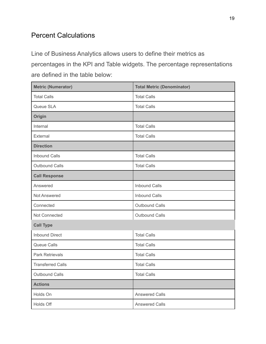# Percent Calculations

Line of Business Analytics allows users to define their metrics as percentages in the KPI and Table widgets. The percentage representations are defined in the table below:

| <b>Metric (Numerator)</b> | <b>Total Metric (Denominator)</b> |  |
|---------------------------|-----------------------------------|--|
| <b>Total Calls</b>        | <b>Total Calls</b>                |  |
| Queue SLA                 | <b>Total Calls</b>                |  |
| Origin                    |                                   |  |
| Internal                  | <b>Total Calls</b>                |  |
| External                  | <b>Total Calls</b>                |  |
| <b>Direction</b>          |                                   |  |
| <b>Inbound Calls</b>      | <b>Total Calls</b>                |  |
| <b>Outbound Calls</b>     | <b>Total Calls</b>                |  |
| <b>Call Response</b>      |                                   |  |
| Answered                  | <b>Inbound Calls</b>              |  |
| Not Answered              | <b>Inbound Calls</b>              |  |
| Connected                 | Outbound Calls                    |  |
| Not Connected             | <b>Outbound Calls</b>             |  |
| <b>Call Type</b>          |                                   |  |
| <b>Inbound Direct</b>     | <b>Total Calls</b>                |  |
| Queue Calls               | <b>Total Calls</b>                |  |
| <b>Park Retrievals</b>    | <b>Total Calls</b>                |  |
| <b>Transferred Calls</b>  | <b>Total Calls</b>                |  |
| <b>Outbound Calls</b>     | <b>Total Calls</b>                |  |
| <b>Actions</b>            |                                   |  |
| Holds On                  | <b>Answered Calls</b>             |  |
| Holds Off                 | <b>Answered Calls</b>             |  |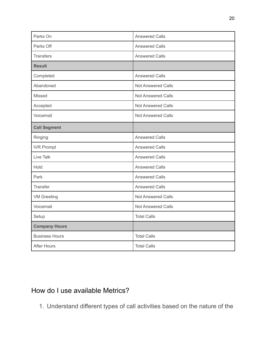| Parks On              | <b>Answered Calls</b>     |
|-----------------------|---------------------------|
| Parks Off             | <b>Answered Calls</b>     |
| <b>Transfers</b>      | <b>Answered Calls</b>     |
| <b>Result</b>         |                           |
| Completed             | <b>Answered Calls</b>     |
| Abandoned             | <b>Not Answered Calls</b> |
| Missed                | <b>Not Answered Calls</b> |
| Accepted              | <b>Not Answered Calls</b> |
| Voicemail             | <b>Not Answered Calls</b> |
| <b>Call Segment</b>   |                           |
| Ringing               | <b>Answered Calls</b>     |
| <b>IVR Prompt</b>     | <b>Answered Calls</b>     |
| <b>Live Talk</b>      | <b>Answered Calls</b>     |
| Hold                  | <b>Answered Calls</b>     |
| Park                  | <b>Answered Calls</b>     |
| Transfer              | <b>Answered Calls</b>     |
| <b>VM Greeting</b>    | <b>Not Answered Calls</b> |
| Voicemail             | Not Answered Calls        |
| Setup                 | <b>Total Calls</b>        |
| <b>Company Hours</b>  |                           |
| <b>Business Hours</b> | <b>Total Calls</b>        |
| <b>After Hours</b>    | <b>Total Calls</b>        |

# <span id="page-19-0"></span>How do I use available Metrics?

1. Understand different types of call activities based on the nature of the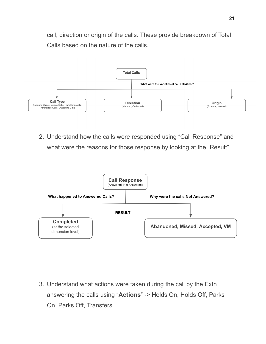call, direction or origin of the calls. These provide breakdown of Total Calls based on the nature of the calls.



2. Understand how the calls were responded using "Call Response" and what were the reasons for those response by looking at the "Result"



3. Understand what actions were taken during the call by the Extn answering the calls using "**Actions**" -> Holds On, Holds Off, Parks On, Parks Off, Transfers